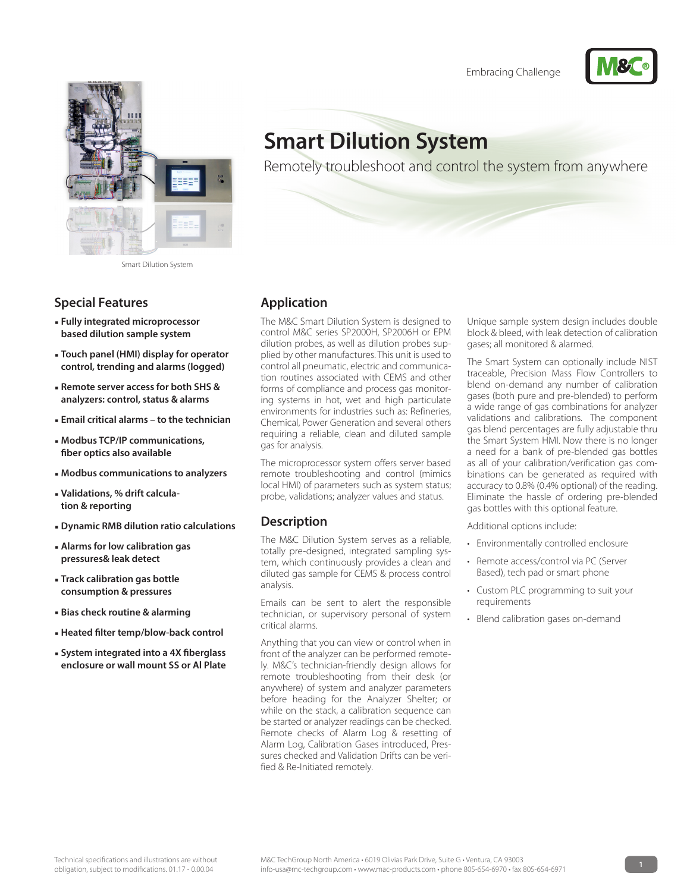



Smart Dilution System

## **Special Features**

- **Fully integrated microprocessor based dilution sample system**
- **Touch panel (HMI) display for operator control, trending and alarms (logged)**
- **Remote server access for both SHS & analyzers: control, status & alarms**
- **Email critical alarms to the technician**
- **Modbus TCP/IP communications, fiber optics also available**
- **Modbus communications to analyzers**
- **Validations, % drift calculation & reporting**
- **Dynamic RMB dilution ratio calculations**
- **Alarms for low calibration gas pressures& leak detect**
- **Track calibration gas bottle consumption & pressures**
- **Bias check routine & alarming**
- **Heated filter temp/blow-back control**
- **System integrated into a 4X fiberglass enclosure or wall mount SS or Al Plate**

# **Smart Dilution System**

Remotely troubleshoot and control the system from anywhere

### **Application**

The M&C Smart Dilution System is designed to control M&C series SP2000H, SP2006H or EPM dilution probes, as well as dilution probes supplied by other manufactures. This unit is used to control all pneumatic, electric and communication routines associated with CEMS and other forms of compliance and process gas monitoring systems in hot, wet and high particulate environments for industries such as: Refineries, Chemical, Power Generation and several others requiring a reliable, clean and diluted sample gas for analysis.

The microprocessor system offers server based remote troubleshooting and control (mimics local HMI) of parameters such as system status; probe, validations; analyzer values and status.

#### **Description**

The M&C Dilution System serves as a reliable, totally pre-designed, integrated sampling system, which continuously provides a clean and diluted gas sample for CEMS & process control analysis.

Emails can be sent to alert the responsible technician, or supervisory personal of system critical alarms.

Anything that you can view or control when in front of the analyzer can be performed remotely. M&C's technician-friendly design allows for remote troubleshooting from their desk (or anywhere) of system and analyzer parameters before heading for the Analyzer Shelter; or while on the stack, a calibration sequence can be started or analyzer readings can be checked. Remote checks of Alarm Log & resetting of Alarm Log, Calibration Gases introduced, Pressures checked and Validation Drifts can be verified & Re-Initiated remotely.

Unique sample system design includes double block & bleed, with leak detection of calibration gases; all monitored & alarmed.

The Smart System can optionally include NIST traceable, Precision Mass Flow Controllers to blend on-demand any number of calibration gases (both pure and pre-blended) to perform a wide range of gas combinations for analyzer validations and calibrations. The component gas blend percentages are fully adjustable thru the Smart System HMI. Now there is no longer a need for a bank of pre-blended gas bottles as all of your calibration/verification gas combinations can be generated as required with accuracy to 0.8% (0.4% optional) of the reading. Eliminate the hassle of ordering pre-blended gas bottles with this optional feature.

Additional options include:

- Environmentally controlled enclosure
- Remote access/control via PC (Server Based), tech pad or smart phone
- Custom PLC programming to suit your requirements
- Blend calibration gases on-demand